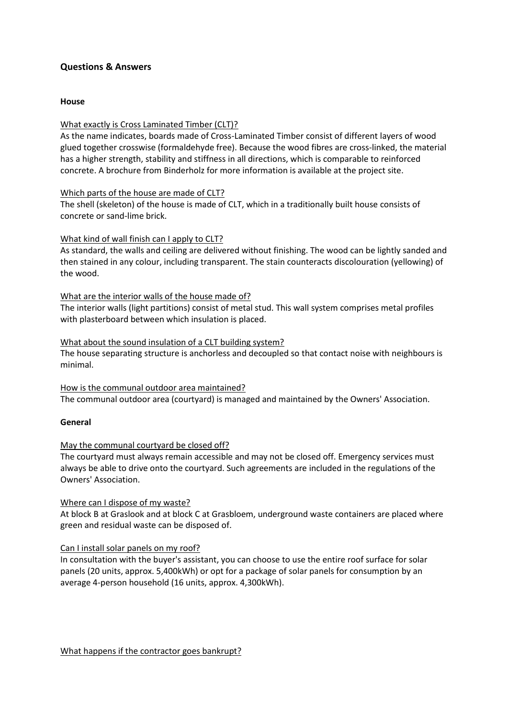# **Questions & Answers**

### **House**

# What exactly is Cross Laminated Timber (CLT)?

As the name indicates, boards made of Cross-Laminated Timber consist of different layers of wood glued together crosswise (formaldehyde free). Because the wood fibres are cross-linked, the material has a higher strength, stability and stiffness in all directions, which is comparable to reinforced concrete. A brochure from Binderholz for more information is available at the project site.

### Which parts of the house are made of CLT?

The shell (skeleton) of the house is made of CLT, which in a traditionally built house consists of concrete or sand-lime brick.

### What kind of wall finish can I apply to CLT?

As standard, the walls and ceiling are delivered without finishing. The wood can be lightly sanded and then stained in any colour, including transparent. The stain counteracts discolouration (yellowing) of the wood.

### What are the interior walls of the house made of?

The interior walls (light partitions) consist of metal stud. This wall system comprises metal profiles with plasterboard between which insulation is placed.

### What about the sound insulation of a CLT building system?

The house separating structure is anchorless and decoupled so that contact noise with neighbours is minimal.

### How is the communal outdoor area maintained? The communal outdoor area (courtyard) is managed and maintained by the Owners' Association.

#### **General**

# May the communal courtyard be closed off?

The courtyard must always remain accessible and may not be closed off. Emergency services must always be able to drive onto the courtyard. Such agreements are included in the regulations of the Owners' Association.

#### Where can I dispose of my waste?

At block B at Graslook and at block C at Grasbloem, underground waste containers are placed where green and residual waste can be disposed of.

#### Can I install solar panels on my roof?

In consultation with the buyer's assistant, you can choose to use the entire roof surface for solar panels (20 units, approx. 5,400kWh) or opt for a package of solar panels for consumption by an average 4-person household (16 units, approx. 4,300kWh).